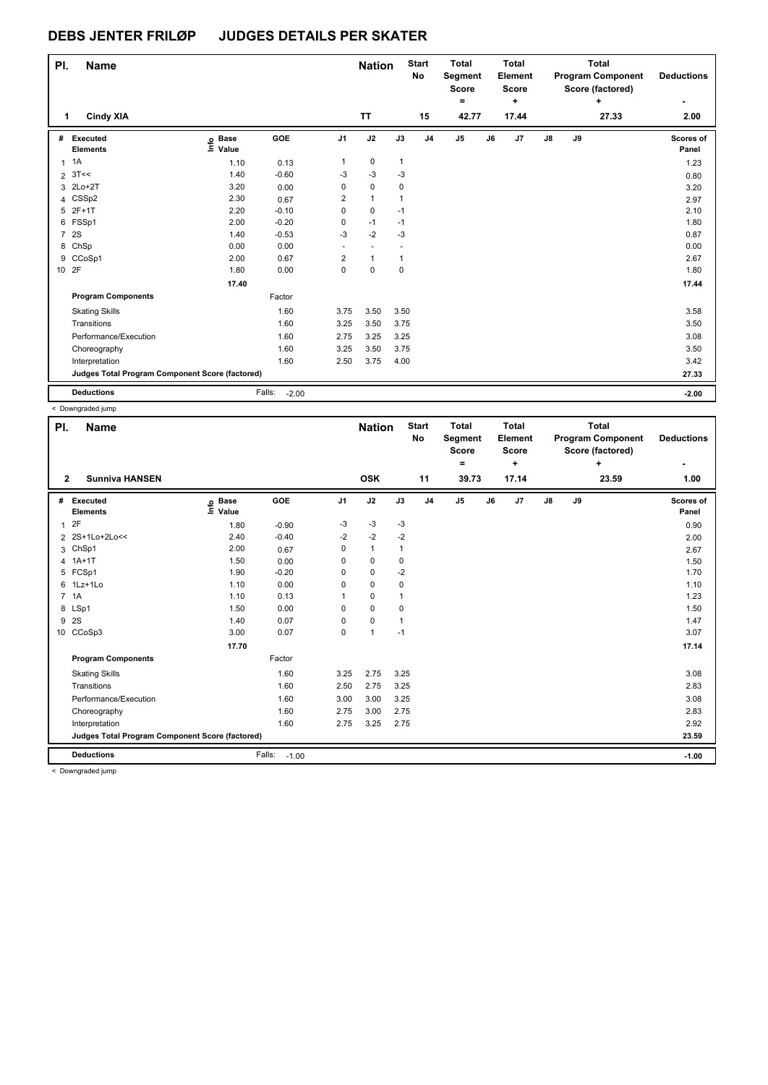| PI.            | <b>Name</b>                                     |                                  |                   |                | <b>Nation</b>            |              | <b>Start</b><br><b>No</b> | <b>Total</b><br>Segment<br><b>Score</b><br>$=$ |    | <b>Total</b><br>Element<br><b>Score</b><br>٠ |    |    | <b>Total</b><br><b>Program Component</b><br>Score (factored)<br>٠ | <b>Deductions</b>  |
|----------------|-------------------------------------------------|----------------------------------|-------------------|----------------|--------------------------|--------------|---------------------------|------------------------------------------------|----|----------------------------------------------|----|----|-------------------------------------------------------------------|--------------------|
| 1              | <b>Cindy XIA</b>                                |                                  |                   |                | <b>TT</b>                |              | 15                        | 42.77                                          |    | 17.44                                        |    |    | 27.33                                                             | 2.00               |
| #              | Executed<br><b>Elements</b>                     | <b>Base</b><br>e Base<br>E Value | GOE               | J <sub>1</sub> | J2                       | J3           | J <sub>4</sub>            | J <sub>5</sub>                                 | J6 | J7                                           | J8 | J9 |                                                                   | Scores of<br>Panel |
| $\mathbf{1}$   | 1A                                              | 1.10                             | 0.13              | $\mathbf{1}$   | $\mathbf 0$              | $\mathbf{1}$ |                           |                                                |    |                                              |    |    |                                                                   | 1.23               |
|                | $2 \text{ } 3T <$                               | 1.40                             | $-0.60$           | -3             | $-3$                     | $-3$         |                           |                                                |    |                                              |    |    |                                                                   | 0.80               |
|                | 3 2Lo+2T                                        | 3.20                             | 0.00              | 0              | $\mathbf 0$              | 0            |                           |                                                |    |                                              |    |    |                                                                   | 3.20               |
| 4              | CSSp2                                           | 2.30                             | 0.67              | 2              | $\mathbf{1}$             | $\mathbf 1$  |                           |                                                |    |                                              |    |    |                                                                   | 2.97               |
| 5              | $2F+1T$                                         | 2.20                             | $-0.10$           | 0              | 0                        | $-1$         |                           |                                                |    |                                              |    |    |                                                                   | 2.10               |
|                | 6 FSSp1                                         | 2.00                             | $-0.20$           | 0              | $-1$                     | $-1$         |                           |                                                |    |                                              |    |    |                                                                   | 1.80               |
| $\overline{7}$ | <b>2S</b>                                       | 1.40                             | $-0.53$           | $-3$           | $-2$                     | $-3$         |                           |                                                |    |                                              |    |    |                                                                   | 0.87               |
|                | 8 ChSp                                          | 0.00                             | 0.00              | ÷              | $\overline{\phantom{a}}$ |              |                           |                                                |    |                                              |    |    |                                                                   | 0.00               |
| 9              | CCoSp1                                          | 2.00                             | 0.67              | 2              | $\overline{1}$           | 1            |                           |                                                |    |                                              |    |    |                                                                   | 2.67               |
| 10 2F          |                                                 | 1.80                             | 0.00              | 0              | $\mathbf 0$              | $\mathbf 0$  |                           |                                                |    |                                              |    |    |                                                                   | 1.80               |
|                |                                                 | 17.40                            |                   |                |                          |              |                           |                                                |    |                                              |    |    |                                                                   | 17.44              |
|                | <b>Program Components</b>                       |                                  | Factor            |                |                          |              |                           |                                                |    |                                              |    |    |                                                                   |                    |
|                | <b>Skating Skills</b>                           |                                  | 1.60              | 3.75           | 3.50                     | 3.50         |                           |                                                |    |                                              |    |    |                                                                   | 3.58               |
|                | Transitions                                     |                                  | 1.60              | 3.25           | 3.50                     | 3.75         |                           |                                                |    |                                              |    |    |                                                                   | 3.50               |
|                | Performance/Execution                           |                                  | 1.60              | 2.75           | 3.25                     | 3.25         |                           |                                                |    |                                              |    |    |                                                                   | 3.08               |
|                | Choreography                                    |                                  | 1.60              | 3.25           | 3.50                     | 3.75         |                           |                                                |    |                                              |    |    |                                                                   | 3.50               |
|                | Interpretation                                  |                                  | 1.60              | 2.50           | 3.75                     | 4.00         |                           |                                                |    |                                              |    |    |                                                                   | 3.42               |
|                | Judges Total Program Component Score (factored) |                                  |                   |                |                          |              |                           |                                                |    |                                              |    |    |                                                                   | 27.33              |
|                | <b>Deductions</b>                               |                                  | Falls:<br>$-2.00$ |                |                          |              |                           |                                                |    |                                              |    |    |                                                                   | $-2.00$            |

< Downgraded jump

| PI.          | <b>Name</b>                                     |                            |                   |                | <b>Nation</b> |      | <b>Start</b><br>No | <b>Total</b><br>Segment<br><b>Score</b> |    | <b>Total</b><br>Element<br><b>Score</b> |               |    | <b>Total</b><br><b>Program Component</b><br>Score (factored) | <b>Deductions</b>  |
|--------------|-------------------------------------------------|----------------------------|-------------------|----------------|---------------|------|--------------------|-----------------------------------------|----|-----------------------------------------|---------------|----|--------------------------------------------------------------|--------------------|
| $\mathbf{2}$ | <b>Sunniva HANSEN</b>                           |                            |                   |                | <b>OSK</b>    |      | 11                 | $=$<br>39.73                            |    | ٠<br>17.14                              |               |    | ٠<br>23.59                                                   | ٠<br>1.00          |
| #            | <b>Executed</b><br><b>Elements</b>              | e Base<br>E Value<br>Value | GOE               | J <sub>1</sub> | J2            | J3   | J <sub>4</sub>     | J <sub>5</sub>                          | J6 | J7                                      | $\mathsf{J}8$ | J9 |                                                              | Scores of<br>Panel |
| $\mathbf{1}$ | 2F                                              | 1.80                       | $-0.90$           | $-3$           | $-3$          | $-3$ |                    |                                         |    |                                         |               |    |                                                              | 0.90               |
|              | 2 2S+1Lo+2Lo<<                                  | 2.40                       | $-0.40$           | $-2$           | $-2$          | $-2$ |                    |                                         |    |                                         |               |    |                                                              | 2.00               |
| 3            | ChSp1                                           | 2.00                       | 0.67              | 0              | $\mathbf{1}$  | 1    |                    |                                         |    |                                         |               |    |                                                              | 2.67               |
|              | 4 1A+1T                                         | 1.50                       | 0.00              | 0              | 0             | 0    |                    |                                         |    |                                         |               |    |                                                              | 1.50               |
|              | 5 FCSp1                                         | 1.90                       | $-0.20$           | 0              | 0             | $-2$ |                    |                                         |    |                                         |               |    |                                                              | 1.70               |
|              | 6 1Lz+1Lo                                       | 1.10                       | 0.00              | 0              | 0             | 0    |                    |                                         |    |                                         |               |    |                                                              | 1.10               |
|              | 7 1A                                            | 1.10                       | 0.13              |                | $\mathbf 0$   |      |                    |                                         |    |                                         |               |    |                                                              | 1.23               |
|              | 8 LSp1                                          | 1.50                       | 0.00              | 0              | $\mathbf 0$   | 0    |                    |                                         |    |                                         |               |    |                                                              | 1.50               |
|              | 9 2S                                            | 1.40                       | 0.07              | 0              | $\mathbf 0$   |      |                    |                                         |    |                                         |               |    |                                                              | 1.47               |
|              | 10 CCoSp3                                       | 3.00                       | 0.07              | $\mathbf 0$    | $\mathbf{1}$  | $-1$ |                    |                                         |    |                                         |               |    |                                                              | 3.07               |
|              |                                                 | 17.70                      |                   |                |               |      |                    |                                         |    |                                         |               |    |                                                              | 17.14              |
|              | <b>Program Components</b>                       |                            | Factor            |                |               |      |                    |                                         |    |                                         |               |    |                                                              |                    |
|              | <b>Skating Skills</b>                           |                            | 1.60              | 3.25           | 2.75          | 3.25 |                    |                                         |    |                                         |               |    |                                                              | 3.08               |
|              | Transitions                                     |                            | 1.60              | 2.50           | 2.75          | 3.25 |                    |                                         |    |                                         |               |    |                                                              | 2.83               |
|              | Performance/Execution                           |                            | 1.60              | 3.00           | 3.00          | 3.25 |                    |                                         |    |                                         |               |    |                                                              | 3.08               |
|              | Choreography                                    |                            | 1.60              | 2.75           | 3.00          | 2.75 |                    |                                         |    |                                         |               |    |                                                              | 2.83               |
|              | Interpretation                                  |                            | 1.60              | 2.75           | 3.25          | 2.75 |                    |                                         |    |                                         |               |    |                                                              | 2.92               |
|              | Judges Total Program Component Score (factored) |                            |                   |                |               |      |                    |                                         |    |                                         |               |    |                                                              | 23.59              |
|              | <b>Deductions</b>                               |                            | Falls:<br>$-1.00$ |                |               |      |                    |                                         |    |                                         |               |    |                                                              | $-1.00$            |
|              | $\geq$ Downgraded jump.                         |                            |                   |                |               |      |                    |                                         |    |                                         |               |    |                                                              |                    |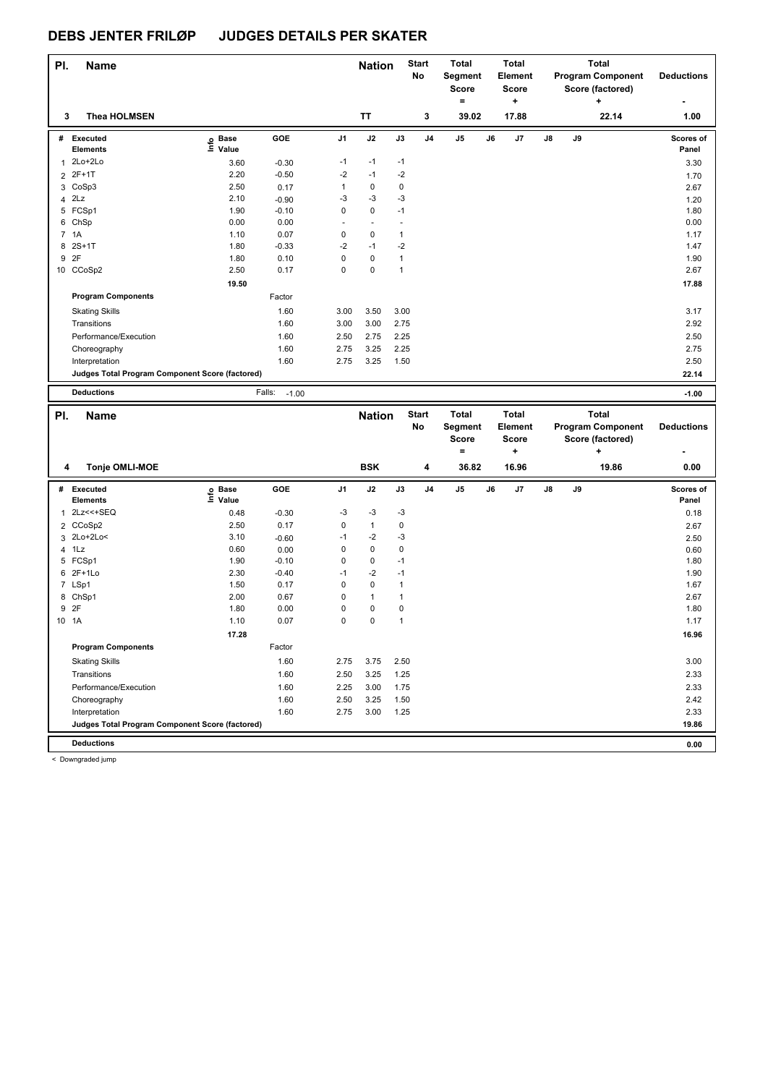| PI. | <b>Name</b>                                     |                   |                   |                | <b>Nation</b> |              | <b>Start</b><br>No | <b>Total</b><br>Segment  |    | <b>Total</b><br>Element |    |    | <b>Total</b><br><b>Program Component</b> | <b>Deductions</b>  |
|-----|-------------------------------------------------|-------------------|-------------------|----------------|---------------|--------------|--------------------|--------------------------|----|-------------------------|----|----|------------------------------------------|--------------------|
|     |                                                 |                   |                   |                |               |              |                    | <b>Score</b>             |    | <b>Score</b>            |    |    | Score (factored)                         |                    |
|     |                                                 |                   |                   |                |               |              |                    | $\equiv$                 |    | ٠.                      |    |    |                                          |                    |
| 3   | <b>Thea HOLMSEN</b>                             |                   |                   |                | <b>TT</b>     |              | 3                  | 39.02                    |    | 17.88                   |    |    | 22.14                                    | 1.00               |
|     | # Executed<br><b>Elements</b>                   | e Base<br>E Value | GOE               | J1             | J2            | J3           | J4                 | J5                       | J6 | J7                      | J8 | J9 |                                          | Scores of<br>Panel |
| 1   | $2Lo+2Lo$                                       | 3.60              | $-0.30$           | $-1$           | $-1$          | $-1$         |                    |                          |    |                         |    |    |                                          | 3.30               |
|     | 2 2F+1T                                         | 2.20              | $-0.50$           | $-2$           | $-1$          | $-2$         |                    |                          |    |                         |    |    |                                          | 1.70               |
|     | 3 CoSp3                                         | 2.50              | 0.17              | $\mathbf{1}$   | 0             | 0            |                    |                          |    |                         |    |    |                                          | 2.67               |
|     | 4 2Lz                                           | 2.10              | $-0.90$           | -3             | -3            | $-3$         |                    |                          |    |                         |    |    |                                          | 1.20               |
|     | 5 FCSp1                                         | 1.90              | $-0.10$           | 0              | 0             | $-1$         |                    |                          |    |                         |    |    |                                          | 1.80               |
|     | 6 ChSp                                          | 0.00              | 0.00              | ÷,             | ä,            | ä,           |                    |                          |    |                         |    |    |                                          | 0.00               |
|     | 7 1A                                            | 1.10              | 0.07              | 0              | 0             | $\mathbf{1}$ |                    |                          |    |                         |    |    |                                          | 1.17               |
|     | 8 2S+1T                                         | 1.80              | $-0.33$           | -2             | $-1$          | $-2$         |                    |                          |    |                         |    |    |                                          | 1.47               |
| 9   | 2F                                              | 1.80              | 0.10              | $\mathsf 0$    | 0             | $\mathbf{1}$ |                    |                          |    |                         |    |    |                                          | 1.90               |
|     | 10 CCoSp2                                       | 2.50              | 0.17              | $\mathbf 0$    | 0             | $\mathbf{1}$ |                    |                          |    |                         |    |    |                                          | 2.67               |
|     |                                                 | 19.50             |                   |                |               |              |                    |                          |    |                         |    |    |                                          | 17.88              |
|     | <b>Program Components</b>                       |                   | Factor            |                |               |              |                    |                          |    |                         |    |    |                                          |                    |
|     | <b>Skating Skills</b>                           |                   | 1.60              | 3.00           | 3.50          | 3.00         |                    |                          |    |                         |    |    |                                          | 3.17               |
|     | Transitions                                     |                   | 1.60              | 3.00           | 3.00          | 2.75         |                    |                          |    |                         |    |    |                                          | 2.92               |
|     | Performance/Execution                           |                   | 1.60              | 2.50           | 2.75          | 2.25         |                    |                          |    |                         |    |    |                                          | 2.50               |
|     | Choreography                                    |                   | 1.60              | 2.75           | 3.25          | 2.25         |                    |                          |    |                         |    |    |                                          | 2.75               |
|     | Interpretation                                  |                   | 1.60              | 2.75           | 3.25          | 1.50         |                    |                          |    |                         |    |    |                                          | 2.50               |
|     | Judges Total Program Component Score (factored) |                   |                   |                |               |              |                    |                          |    |                         |    |    |                                          | 22.14              |
|     | <b>Deductions</b>                               |                   | Falls:<br>$-1.00$ |                |               |              |                    |                          |    |                         |    |    |                                          | $-1.00$            |
|     |                                                 |                   |                   |                |               |              |                    |                          |    |                         |    |    |                                          |                    |
|     |                                                 |                   |                   |                |               |              |                    |                          |    |                         |    |    |                                          |                    |
| PI. | <b>Name</b>                                     |                   |                   |                | <b>Nation</b> |              | <b>Start</b>       | Total                    |    | <b>Total</b>            |    |    | <b>Total</b>                             |                    |
|     |                                                 |                   |                   |                |               |              | No                 | Segment                  |    | Element                 |    |    | <b>Program Component</b>                 | <b>Deductions</b>  |
|     |                                                 |                   |                   |                |               |              |                    | <b>Score</b><br>$\equiv$ |    | <b>Score</b>            |    |    | Score (factored)                         |                    |
|     |                                                 |                   |                   |                |               |              |                    |                          |    | ٠                       |    |    | ٠                                        |                    |
| 4   | <b>Tonje OMLI-MOE</b>                           |                   |                   |                | <b>BSK</b>    |              | 4                  | 36.82                    |    | 16.96                   |    |    | 19.86                                    | 0.00               |
|     | # Executed                                      |                   | GOE               | J <sub>1</sub> | J2            | J3           | J <sub>4</sub>     | $\mathsf{J}5$            | J6 | J7                      | J8 | J9 |                                          | Scores of          |
|     | <b>Elements</b>                                 | e Base<br>⊑ Value |                   |                |               |              |                    |                          |    |                         |    |    |                                          | Panel              |
| 1   | 2Lz<<+SEQ                                       | 0.48              | $-0.30$           | -3             | $-3$          | $-3$         |                    |                          |    |                         |    |    |                                          | 0.18               |
|     | 2 CCoSp2                                        | 2.50              | 0.17              | 0              | $\mathbf{1}$  | 0            |                    |                          |    |                         |    |    |                                          | 2.67               |
|     | 3 2Lo+2Lo<                                      | 3.10              | $-0.60$           | $-1$           | $-2$          | $-3$         |                    |                          |    |                         |    |    |                                          | 2.50               |
| 4   | 1Lz                                             | 0.60              | 0.00              | 0              | 0             | 0            |                    |                          |    |                         |    |    |                                          | 0.60               |
|     | 5 FCSp1                                         | 1.90              | $-0.10$           | 0              | 0             | $-1$         |                    |                          |    |                         |    |    |                                          | 1.80               |
| 6   | $2F+1Lo$                                        | 2.30              | $-0.40$           | $-1$           | $-2$          | $-1$         |                    |                          |    |                         |    |    |                                          | 1.90               |
|     | 7 LSp1                                          | 1.50              | 0.17              | 0              | 0             | $\mathbf{1}$ |                    |                          |    |                         |    |    |                                          | 1.67               |
|     | 8 ChSp1                                         | 2.00              | 0.67              | 0              | $\mathbf{1}$  | 1            |                    |                          |    |                         |    |    |                                          | 2.67               |
|     | 9 2F                                            | 1.80              | 0.00              | 0              | 0             | 0            |                    |                          |    |                         |    |    |                                          | 1.80               |
|     | 10 1A                                           | 1.10              | 0.07              | $\mathbf 0$    | 0             | $\mathbf{1}$ |                    |                          |    |                         |    |    |                                          | 1.17               |
|     |                                                 | 17.28             |                   |                |               |              |                    |                          |    |                         |    |    |                                          | 16.96              |
|     | <b>Program Components</b>                       |                   | Factor            |                |               |              |                    |                          |    |                         |    |    |                                          |                    |
|     | <b>Skating Skills</b>                           |                   | 1.60              | 2.75           | 3.75          | 2.50         |                    |                          |    |                         |    |    |                                          | 3.00               |
|     | Transitions                                     |                   | 1.60              | 2.50           | 3.25          | 1.25         |                    |                          |    |                         |    |    |                                          | 2.33               |
|     | Performance/Execution                           |                   | 1.60              | 2.25           | 3.00          | 1.75         |                    |                          |    |                         |    |    |                                          | 2.33               |
|     | Choreography                                    |                   | 1.60              | 2.50           | 3.25          | 1.50         |                    |                          |    |                         |    |    |                                          | 2.42               |
|     | Interpretation                                  |                   | 1.60              | 2.75           | 3.00          | 1.25         |                    |                          |    |                         |    |    |                                          | 2.33               |
|     | Judges Total Program Component Score (factored) |                   |                   |                |               |              |                    |                          |    |                         |    |    |                                          | 19.86              |
|     | <b>Deductions</b>                               |                   |                   |                |               |              |                    |                          |    |                         |    |    |                                          | 0.00               |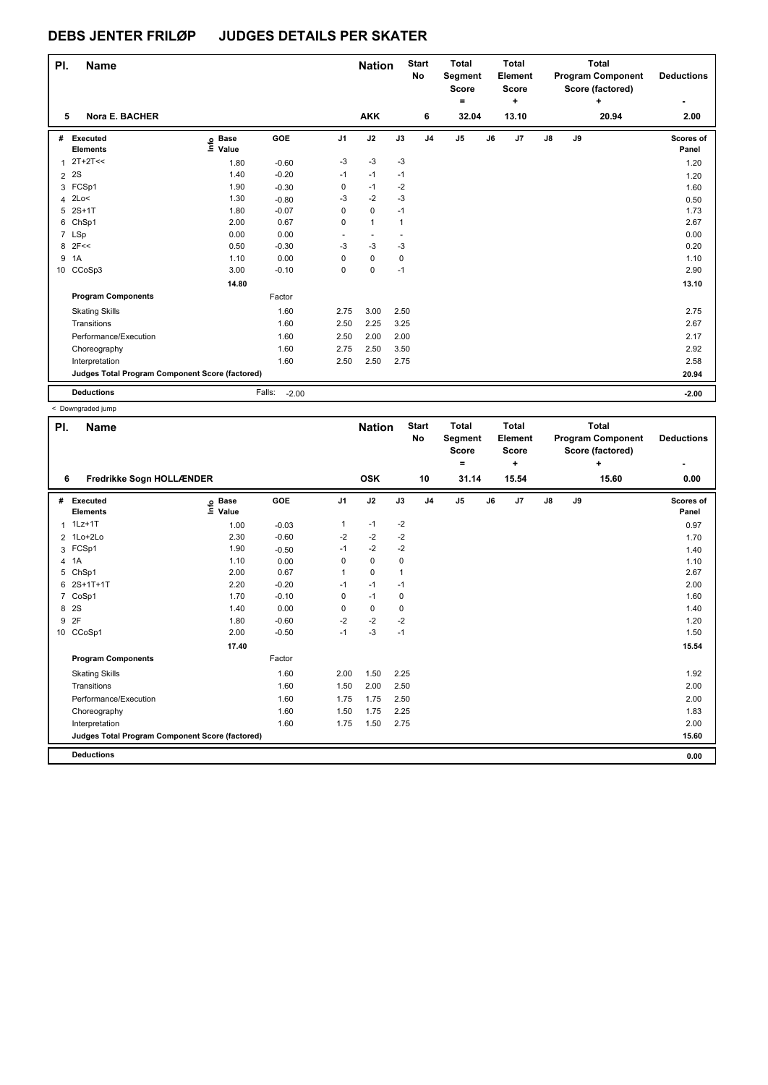< Downgraded jump

| PI.            | <b>Name</b>                                     |                                  |                   |                | <b>Nation</b>  |              | <b>Start</b><br><b>No</b> | <b>Total</b><br>Segment<br><b>Score</b><br>٠ |    | <b>Total</b><br>Element<br><b>Score</b><br>÷ |    |    | <b>Total</b><br><b>Program Component</b><br>Score (factored)<br>٠ | <b>Deductions</b>  |
|----------------|-------------------------------------------------|----------------------------------|-------------------|----------------|----------------|--------------|---------------------------|----------------------------------------------|----|----------------------------------------------|----|----|-------------------------------------------------------------------|--------------------|
| 5              | Nora E. BACHER                                  |                                  |                   |                | <b>AKK</b>     |              | 6                         | 32.04                                        |    | 13.10                                        |    |    | 20.94                                                             | 2.00               |
| #              | Executed<br><b>Elements</b>                     | <b>Base</b><br>e Base<br>⊑ Value | <b>GOE</b>        | J <sub>1</sub> | J2             | J3           | J <sub>4</sub>            | J <sub>5</sub>                               | J6 | J7                                           | J8 | J9 |                                                                   | Scores of<br>Panel |
| 1              | $2T+2T<<$                                       | 1.80                             | $-0.60$           | $-3$           | $-3$           | -3           |                           |                                              |    |                                              |    |    |                                                                   | 1.20               |
| $\overline{2}$ | 2S                                              | 1.40                             | $-0.20$           | $-1$           | $-1$           | $-1$         |                           |                                              |    |                                              |    |    |                                                                   | 1.20               |
|                | 3 FCSp1                                         | 1.90                             | $-0.30$           | 0              | $-1$           | $-2$         |                           |                                              |    |                                              |    |    |                                                                   | 1.60               |
| 4              | 2Lo<                                            | 1.30                             | $-0.80$           | $-3$           | $-2$           | $-3$         |                           |                                              |    |                                              |    |    |                                                                   | 0.50               |
| 5              | $2S+1T$                                         | 1.80                             | $-0.07$           | 0              | $\pmb{0}$      | $-1$         |                           |                                              |    |                                              |    |    |                                                                   | 1.73               |
| 6              | ChSp1                                           | 2.00                             | 0.67              | 0              | $\mathbf{1}$   | $\mathbf{1}$ |                           |                                              |    |                                              |    |    |                                                                   | 2.67               |
|                | 7 LSp                                           | 0.00                             | 0.00              | $\sim$         | $\overline{a}$ | ٠            |                           |                                              |    |                                              |    |    |                                                                   | 0.00               |
| 8              | 2F<<                                            | 0.50                             | $-0.30$           | $-3$           | $-3$           | $-3$         |                           |                                              |    |                                              |    |    |                                                                   | 0.20               |
| 9              | 1A                                              | 1.10                             | 0.00              | 0              | $\mathbf 0$    | 0            |                           |                                              |    |                                              |    |    |                                                                   | 1.10               |
|                | 10 CCoSp3                                       | 3.00                             | $-0.10$           | 0              | $\mathbf 0$    | $-1$         |                           |                                              |    |                                              |    |    |                                                                   | 2.90               |
|                |                                                 | 14.80                            |                   |                |                |              |                           |                                              |    |                                              |    |    |                                                                   | 13.10              |
|                | <b>Program Components</b>                       |                                  | Factor            |                |                |              |                           |                                              |    |                                              |    |    |                                                                   |                    |
|                | <b>Skating Skills</b>                           |                                  | 1.60              | 2.75           | 3.00           | 2.50         |                           |                                              |    |                                              |    |    |                                                                   | 2.75               |
|                | Transitions                                     |                                  | 1.60              | 2.50           | 2.25           | 3.25         |                           |                                              |    |                                              |    |    |                                                                   | 2.67               |
|                | Performance/Execution                           |                                  | 1.60              | 2.50           | 2.00           | 2.00         |                           |                                              |    |                                              |    |    |                                                                   | 2.17               |
|                | Choreography                                    |                                  | 1.60              | 2.75           | 2.50           | 3.50         |                           |                                              |    |                                              |    |    |                                                                   | 2.92               |
|                | Interpretation                                  |                                  | 1.60              | 2.50           | 2.50           | 2.75         |                           |                                              |    |                                              |    |    |                                                                   | 2.58               |
|                | Judges Total Program Component Score (factored) |                                  |                   |                |                |              |                           |                                              |    |                                              |    |    |                                                                   | 20.94              |
|                | <b>Deductions</b>                               |                                  | Falls:<br>$-2.00$ |                |                |              |                           |                                              |    |                                              |    |    |                                                                   | $-2.00$            |

**Name Deductions - Nation Start** Total **Segment Score = Total Element Score + Total Program Component Score (factored) + PI.** Name **Start PI.** Nation Start **No # Executed Elements Base Value GOE J1 J2 J3 J4 J5 J6 J7 J8 J9 Scores of Panel** F Executed **F** Executed **C** Executed **C** Executed **C** Elements Evalue F Elements F Cores of the Scores of the Scores of the Scores of the Panel of the Panel of the Scores of the Scores of the Scores of the Scores of the  **6 Fredrikke Sogn HOLLÆNDER OSK 10 31.14 15.54 15.60 0.00** 2 1Lo+2Lo 2.30 -0.60 -2 -2 -2 1.70 3 FCSp1 1.90 -0.50 -1 -2 -2 1.40 4 1A 1.10 0.00 0 0 0 1.10 1.10 5 ChSp1 2.00 0.67 1 0 1 2.67 6 2S+1T+1T 2.20 -0.20 -1 -1 -1 2.00 7 CoSp1 1.70 -0.10 0 -1 0 1.60 8 2S 1.40 0.00 0 0 0 1.40 9 2F 1.80 -0.60 -2 -2 -2 1.20 10 CCoSp1 2.00 -0.50 -1 -3 -1 1.50  **17.40 15.54 Program Components**  Skating Skills 2.00 1.50 2.25 Factor 1.60 2.00 1.50 2.25 2.1 and 2.00 1.92 Transitions 1.60 1.50 2.00 2.50 2.00 Performance/Execution 2.00 1.75 1.75 2.50 2.00 2.00 2.00 Choreography 1.60 1.50 1.75 2.25 1.83 Interpretation 1.60 1.75 1.50 2.75 2.00 **Deductions 0.00 Judges Total Program Component Score (factored) 15.60**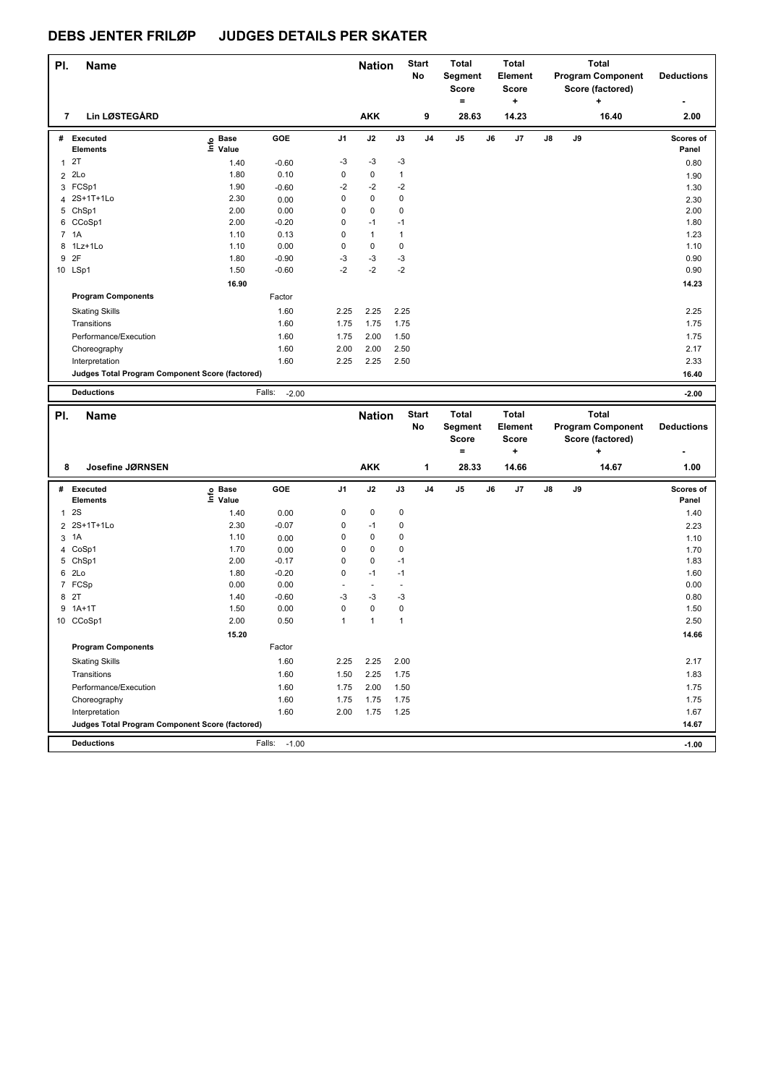| PI.          | Name                                            |                   |                   |                | <b>Nation</b> |              | <b>Start</b><br>No | <b>Total</b><br>Segment<br><b>Score</b><br>$\equiv$ |    | <b>Total</b><br><b>Element</b><br><b>Score</b><br>÷ |               |    | <b>Total</b><br><b>Program Component</b><br>Score (factored)<br>÷ | <b>Deductions</b>  |
|--------------|-------------------------------------------------|-------------------|-------------------|----------------|---------------|--------------|--------------------|-----------------------------------------------------|----|-----------------------------------------------------|---------------|----|-------------------------------------------------------------------|--------------------|
| 7            | <b>Lin LØSTEGÅRD</b>                            |                   |                   |                | <b>AKK</b>    |              | 9                  | 28.63                                               |    | 14.23                                               |               |    | 16.40                                                             | 2.00               |
|              | # Executed<br><b>Elements</b>                   | e Base<br>⊑ Value | GOE               | J1             | J2            | J3           | J4                 | J5                                                  | J6 | J7                                                  | J8            | J9 |                                                                   | Scores of<br>Panel |
| $\mathbf{1}$ | 2T                                              | 1.40              | $-0.60$           | -3             | $-3$          | -3           |                    |                                                     |    |                                                     |               |    |                                                                   | 0.80               |
|              | 2 2Lo                                           | 1.80              | 0.10              | $\mathbf 0$    | 0             | $\mathbf{1}$ |                    |                                                     |    |                                                     |               |    |                                                                   | 1.90               |
| 3            | FCSp1                                           | 1.90              | $-0.60$           | $-2$           | $-2$          | $-2$         |                    |                                                     |    |                                                     |               |    |                                                                   | 1.30               |
|              | 4 2S+1T+1Lo                                     | 2.30              | 0.00              | 0              | $\pmb{0}$     | $\mathbf 0$  |                    |                                                     |    |                                                     |               |    |                                                                   | 2.30               |
|              | 5 ChSp1                                         | 2.00              | 0.00              | 0              | $\pmb{0}$     | $\mathbf 0$  |                    |                                                     |    |                                                     |               |    |                                                                   | 2.00               |
|              | 6 CCoSp1                                        | 2.00              | $-0.20$           | 0              | $-1$          | $-1$         |                    |                                                     |    |                                                     |               |    |                                                                   | 1.80               |
|              | 7 1A                                            | 1.10              | 0.13              | 0              | $\mathbf{1}$  | $\mathbf{1}$ |                    |                                                     |    |                                                     |               |    |                                                                   | 1.23               |
|              | 8 1Lz+1Lo                                       | 1.10              | 0.00              | $\mathbf 0$    | $\pmb{0}$     | 0            |                    |                                                     |    |                                                     |               |    |                                                                   | 1.10               |
|              | 9 2F                                            | 1.80              | $-0.90$           | -3             | $-3$          | -3           |                    |                                                     |    |                                                     |               |    |                                                                   | 0.90               |
|              | 10 LSp1                                         | 1.50              | $-0.60$           | $-2$           | $-2$          | $-2$         |                    |                                                     |    |                                                     |               |    |                                                                   | 0.90               |
|              |                                                 | 16.90             |                   |                |               |              |                    |                                                     |    |                                                     |               |    |                                                                   | 14.23              |
|              | <b>Program Components</b>                       |                   | Factor            |                |               |              |                    |                                                     |    |                                                     |               |    |                                                                   |                    |
|              | <b>Skating Skills</b>                           |                   | 1.60              | 2.25           | 2.25          | 2.25         |                    |                                                     |    |                                                     |               |    |                                                                   | 2.25               |
|              | Transitions                                     |                   | 1.60              | 1.75           | 1.75          | 1.75         |                    |                                                     |    |                                                     |               |    |                                                                   | 1.75               |
|              | Performance/Execution                           |                   | 1.60              | 1.75           | 2.00          | 1.50         |                    |                                                     |    |                                                     |               |    |                                                                   | 1.75               |
|              | Choreography                                    |                   | 1.60              | 2.00           | 2.00          | 2.50         |                    |                                                     |    |                                                     |               |    |                                                                   | 2.17               |
|              | Interpretation                                  |                   | 1.60              | 2.25           | 2.25          | 2.50         |                    |                                                     |    |                                                     |               |    |                                                                   | 2.33               |
|              | Judges Total Program Component Score (factored) |                   |                   |                |               |              |                    |                                                     |    |                                                     |               |    |                                                                   | 16.40              |
|              | <b>Deductions</b>                               |                   | Falls:<br>$-2.00$ |                |               |              |                    |                                                     |    |                                                     |               |    |                                                                   | $-2.00$            |
|              |                                                 |                   |                   |                |               |              |                    |                                                     |    |                                                     |               |    |                                                                   |                    |
|              |                                                 |                   |                   |                |               |              |                    |                                                     |    |                                                     |               |    |                                                                   |                    |
| PI.          | <b>Name</b>                                     |                   |                   |                | <b>Nation</b> |              | <b>Start</b>       | <b>Total</b>                                        |    | Total                                               |               |    | Total                                                             |                    |
|              |                                                 |                   |                   |                |               |              | No                 | Segment                                             |    | <b>Element</b>                                      |               |    | <b>Program Component</b>                                          | <b>Deductions</b>  |
|              |                                                 |                   |                   |                |               |              |                    | <b>Score</b><br>$\equiv$                            |    | <b>Score</b><br>٠                                   |               |    | Score (factored)<br>÷                                             |                    |
|              |                                                 |                   |                   |                |               |              |                    |                                                     |    |                                                     |               |    |                                                                   |                    |
| 8            | Josefine JØRNSEN                                |                   |                   |                | <b>AKK</b>    |              | 1                  | 28.33                                               |    | 14.66                                               |               |    | 14.67                                                             | 1.00               |
|              | # Executed                                      | Base              | GOE               | J1             | J2            | J3           | J4                 | J5                                                  | J6 | J7                                                  | $\mathsf{J}8$ | J9 |                                                                   | Scores of          |
|              | <b>Elements</b>                                 | e Base<br>⊑ Value |                   |                |               |              |                    |                                                     |    |                                                     |               |    |                                                                   | Panel              |
| 1            | 2S                                              | 1.40              | 0.00              | 0              | $\pmb{0}$     | 0            |                    |                                                     |    |                                                     |               |    |                                                                   | 1.40               |
|              | 2 2S+1T+1Lo                                     | 2.30              | $-0.07$           | 0              | $-1$          | 0            |                    |                                                     |    |                                                     |               |    |                                                                   | 2.23               |
|              | 3 1A                                            | 1.10              | 0.00              | 0              | $\pmb{0}$     | 0            |                    |                                                     |    |                                                     |               |    |                                                                   | 1.10               |
|              | 4 CoSp1                                         | 1.70              | 0.00              | 0              | $\pmb{0}$     | 0            |                    |                                                     |    |                                                     |               |    |                                                                   | 1.70               |
|              | 5 ChSp1                                         | 2.00              | $-0.17$           | 0              | 0             | $-1$         |                    |                                                     |    |                                                     |               |    |                                                                   | 1.83               |
|              | 6 2Lo                                           | 1.80              | $-0.20$           | 0              | $-1$          | $-1$         |                    |                                                     |    |                                                     |               |    |                                                                   | 1.60               |
|              | 7 FCSp                                          | 0.00              | 0.00              | $\overline{a}$ | $\sim$        | $\sim$       |                    |                                                     |    |                                                     |               |    |                                                                   | 0.00               |
|              | 8 2T                                            | 1.40              | $-0.60$           | -3             | $-3$          | -3           |                    |                                                     |    |                                                     |               |    |                                                                   | 0.80               |
|              | 9 1A+1T                                         | 1.50              | 0.00              | $\mathbf 0$    | 0             | 0            |                    |                                                     |    |                                                     |               |    |                                                                   | 1.50               |
|              | 10 CCoSp1                                       | 2.00              | 0.50              | 1              | $\mathbf{1}$  | $\mathbf{1}$ |                    |                                                     |    |                                                     |               |    |                                                                   | 2.50               |
|              |                                                 | 15.20             |                   |                |               |              |                    |                                                     |    |                                                     |               |    |                                                                   | 14.66              |
|              | <b>Program Components</b>                       |                   | Factor            |                |               |              |                    |                                                     |    |                                                     |               |    |                                                                   |                    |
|              | <b>Skating Skills</b>                           |                   | 1.60              | 2.25           | 2.25          | 2.00         |                    |                                                     |    |                                                     |               |    |                                                                   | 2.17               |
|              | Transitions                                     |                   | 1.60              | 1.50           | 2.25          | 1.75         |                    |                                                     |    |                                                     |               |    |                                                                   | 1.83               |
|              | Performance/Execution                           |                   | 1.60              | 1.75           | 2.00          | 1.50         |                    |                                                     |    |                                                     |               |    |                                                                   | 1.75               |
|              | Choreography                                    |                   | 1.60              | 1.75           | 1.75          | 1.75         |                    |                                                     |    |                                                     |               |    |                                                                   | 1.75               |
|              | Interpretation                                  |                   | 1.60              | 2.00           | 1.75          | 1.25         |                    |                                                     |    |                                                     |               |    |                                                                   | 1.67               |
|              | Judges Total Program Component Score (factored) |                   |                   |                |               |              |                    |                                                     |    |                                                     |               |    |                                                                   | 14.67              |
|              | <b>Deductions</b>                               |                   | Falls:<br>$-1.00$ |                |               |              |                    |                                                     |    |                                                     |               |    |                                                                   | $-1.00$            |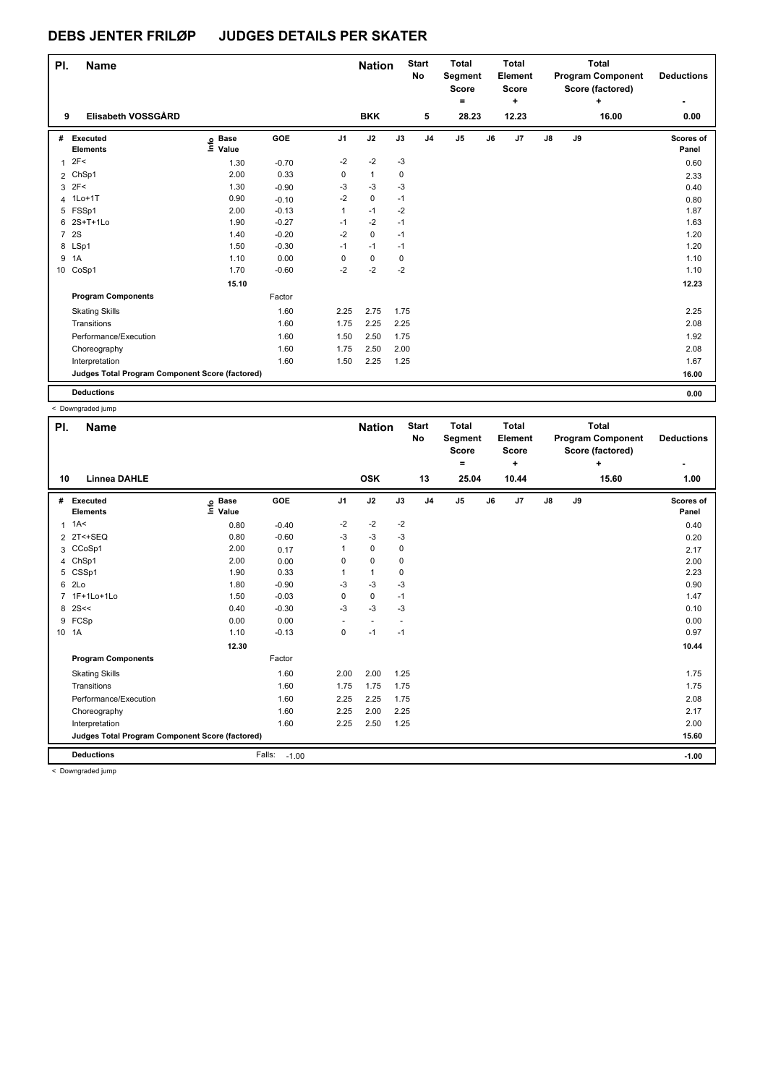| PI.            | Name                                            |                                  |         |                | <b>Nation</b> |      | <b>Start</b><br><b>No</b> | <b>Total</b><br>Segment<br><b>Score</b><br>۰ |    | <b>Total</b><br>Element<br><b>Score</b><br>÷ |               |    | Total<br><b>Program Component</b><br>Score (factored)<br>÷ | <b>Deductions</b>  |
|----------------|-------------------------------------------------|----------------------------------|---------|----------------|---------------|------|---------------------------|----------------------------------------------|----|----------------------------------------------|---------------|----|------------------------------------------------------------|--------------------|
| 9              | Elisabeth VOSSGÅRD                              |                                  |         |                | <b>BKK</b>    |      | 5                         | 28.23                                        |    | 12.23                                        |               |    | 16.00                                                      | 0.00               |
| #              | Executed<br><b>Elements</b>                     | <b>Base</b><br>e Base<br>⊑ Value | GOE     | J <sub>1</sub> | J2            | J3   | J <sub>4</sub>            | J <sub>5</sub>                               | J6 | J7                                           | $\mathsf{J}8$ | J9 |                                                            | Scores of<br>Panel |
| 1              | 2F<                                             | 1.30                             | $-0.70$ | $-2$           | $-2$          | -3   |                           |                                              |    |                                              |               |    |                                                            | 0.60               |
|                | 2 ChSp1                                         | 2.00                             | 0.33    | 0              | $\mathbf{1}$  | 0    |                           |                                              |    |                                              |               |    |                                                            | 2.33               |
|                | $3 \t2F<$                                       | 1.30                             | $-0.90$ | -3             | $-3$          | -3   |                           |                                              |    |                                              |               |    |                                                            | 0.40               |
|                | 4 1Lo+1T                                        | 0.90                             | $-0.10$ | $-2$           | 0             | $-1$ |                           |                                              |    |                                              |               |    |                                                            | 0.80               |
|                | 5 FSSp1                                         | 2.00                             | $-0.13$ | $\mathbf{1}$   | $-1$          | $-2$ |                           |                                              |    |                                              |               |    |                                                            | 1.87               |
| 6              | 2S+T+1Lo                                        | 1.90                             | $-0.27$ | $-1$           | $-2$          | $-1$ |                           |                                              |    |                                              |               |    |                                                            | 1.63               |
| $\overline{7}$ | <b>2S</b>                                       | 1.40                             | $-0.20$ | $-2$           | $\mathbf 0$   | $-1$ |                           |                                              |    |                                              |               |    |                                                            | 1.20               |
|                | 8 LSp1                                          | 1.50                             | $-0.30$ | $-1$           | $-1$          | $-1$ |                           |                                              |    |                                              |               |    |                                                            | 1.20               |
| 9              | 1A                                              | 1.10                             | 0.00    | 0              | 0             | 0    |                           |                                              |    |                                              |               |    |                                                            | 1.10               |
| 10             | CoSp1                                           | 1.70                             | $-0.60$ | $-2$           | $-2$          | $-2$ |                           |                                              |    |                                              |               |    |                                                            | 1.10               |
|                |                                                 | 15.10                            |         |                |               |      |                           |                                              |    |                                              |               |    |                                                            | 12.23              |
|                | <b>Program Components</b>                       |                                  | Factor  |                |               |      |                           |                                              |    |                                              |               |    |                                                            |                    |
|                | <b>Skating Skills</b>                           |                                  | 1.60    | 2.25           | 2.75          | 1.75 |                           |                                              |    |                                              |               |    |                                                            | 2.25               |
|                | Transitions                                     |                                  | 1.60    | 1.75           | 2.25          | 2.25 |                           |                                              |    |                                              |               |    |                                                            | 2.08               |
|                | Performance/Execution                           |                                  | 1.60    | 1.50           | 2.50          | 1.75 |                           |                                              |    |                                              |               |    |                                                            | 1.92               |
|                | Choreography                                    |                                  | 1.60    | 1.75           | 2.50          | 2.00 |                           |                                              |    |                                              |               |    |                                                            | 2.08               |
|                | Interpretation                                  |                                  | 1.60    | 1.50           | 2.25          | 1.25 |                           |                                              |    |                                              |               |    |                                                            | 1.67               |
|                | Judges Total Program Component Score (factored) |                                  |         |                |               |      |                           |                                              |    |                                              |               |    |                                                            | 16.00              |
|                | <b>Deductions</b>                               |                                  |         |                |               |      |                           |                                              |    |                                              |               |    |                                                            | 0.00               |

**Name Deductions - Nation Start** Total **Segment Score = Total Element Score + Total Program Component Score (factored) + PI.** Name **Start PI.** Nation Start **No # Executed Elements Base Value GOE J1 J2 J3 J4 J5 J6 J7 J8 J9 Scores of Panel** 9 Base GUE J1 J2 J3 J4 J5 J6 J7 J8 J9 > Scores of Scores (<br>Elements EValue Panel<br>1 1A< 0.80 0.40 <sup>-2</sup> <sup>-2</sup> <sup>-2</sup> 2 <sup>-2</sup> 0.40  **10 Linnea DAHLE OSK 13 25.04 10.44 15.60 1.00**  $2 \text{ } 2 \text{ } 2 \text{ } 5 \text{ } 2 \text{ } 2 \text{ } 5 \text{ } 2 \text{ } 2 \text{ } 2 \text{ } 2 \text{ } 2 \text{ } 2 \text{ } 2 \text{ } 2 \text{ } 2 \text{ } 2 \text{ } 2 \text{ } 2 \text{ } 2 \text{ } 2 \text{ } 2 \text{ } 2 \text{ } 2 \text{ } 2 \text{ } 2 \text{ } 2 \text{ } 2 \text{ } 2 \text{ } 2 \text{ } 2 \text{ } 2 \text{ } 2 \text{ } 2 \text{ } 2 \text{ } 2 \text{ } 2 \text{$ 3 CCoSp1 2.00 0.17 1 0 0 2.17 4 ChSp1 2.00 0.00 0 0 0 2.00 5 CSSp1 1.90 0.33 1 1 0 2.23  $6$  2Lo  $1.80$   $-0.90$   $-3$   $-3$   $-3$   $-3$   $-1.3$   $-1.30$   $0.90$ 7 1F+1Lo+1Lo 1.50 -0.03 0 0 -1 1.47 8 2S<< 0.10  $0.40$   $0.30$   $0.3$   $0.3$   $0.3$   $0.10$ 9 FCSp 0.00 0.00 - - - 0.00 10 1A 1.10 -0.13 0 -1 -1 0.97  **12.30 10.44 Program Components**  Skating Skills 2.00 2.00 1.25 Factor 1.60 2.00 2.00 1.25 2.00 1.25 and the state of the state of the state of the state of the state of the state of the state of the state of the state of the state of the state of the state of the state of the state of the st Transitions 1.60 1.75 1.75 1.75 1.75 Performance/Execution 2.08 1.60 2.25 2.25 1.75 2.08 2.08 2.08 Choreography 1.60 2.25 2.00 2.25 2.00 2.25 2.00 2.25 2.17 Interpretation 1.60 1.60 2.25 2.50 1.25 2.00 2.20 2.00 **Deductions** Falls: -1.00 **-1.00 Judges Total Program Component Score (factored) 15.60** < Downgraded jump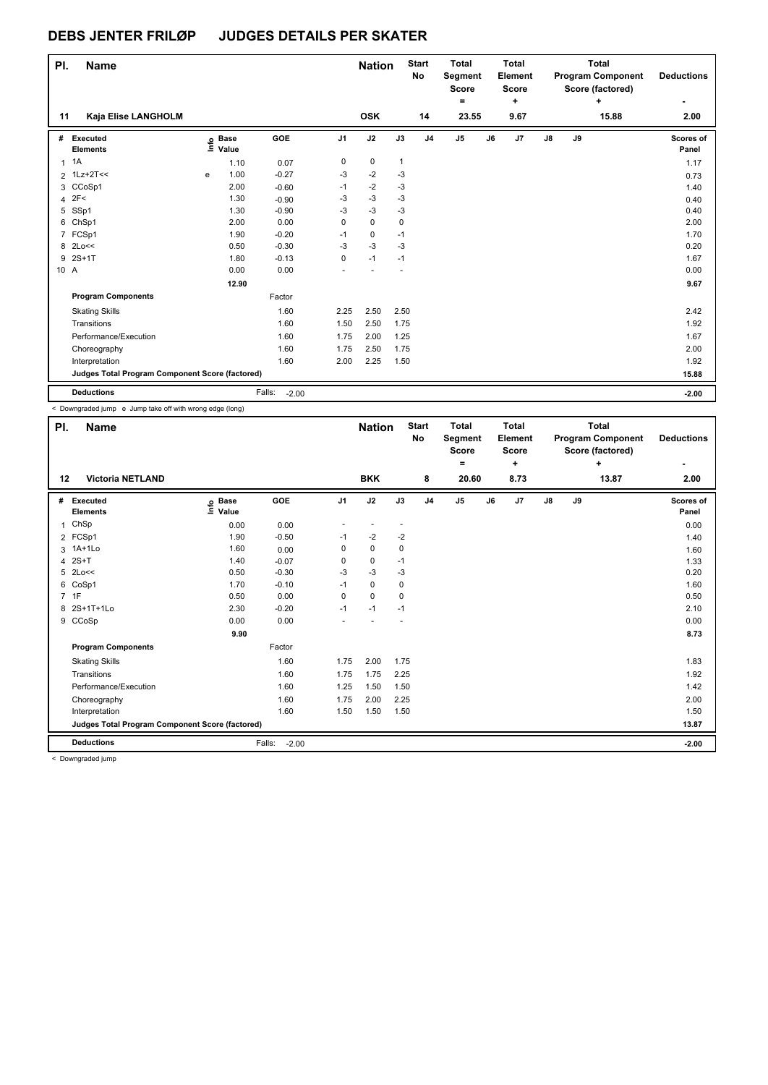| PI.  | <b>Name</b>                                     |   |                                  |                   |                | <b>Nation</b> |              | <b>Start</b><br>No | <b>Total</b><br>Segment<br><b>Score</b><br>۰ |    | Total<br>Element<br><b>Score</b><br>٠ |               |    | Total<br><b>Program Component</b><br>Score (factored)<br>÷ | <b>Deductions</b>  |
|------|-------------------------------------------------|---|----------------------------------|-------------------|----------------|---------------|--------------|--------------------|----------------------------------------------|----|---------------------------------------|---------------|----|------------------------------------------------------------|--------------------|
| 11   | Kaja Elise LANGHOLM                             |   |                                  |                   |                | <b>OSK</b>    |              | 14                 | 23.55                                        |    | 9.67                                  |               |    | 15.88                                                      | 2.00               |
| #    | Executed<br><b>Elements</b>                     |   | <b>Base</b><br>e Base<br>⊑ Value | GOE               | J <sub>1</sub> | J2            | J3           | J <sub>4</sub>     | J <sub>5</sub>                               | J6 | J7                                    | $\mathsf{J}8$ | J9 |                                                            | Scores of<br>Panel |
|      | $1 \t1A$                                        |   | 1.10                             | 0.07              | 0              | $\pmb{0}$     | $\mathbf{1}$ |                    |                                              |    |                                       |               |    |                                                            | 1.17               |
|      | 2 1Lz+2T<<                                      | e | 1.00                             | $-0.27$           | -3             | $-2$          | -3           |                    |                                              |    |                                       |               |    |                                                            | 0.73               |
|      | 3 CCoSp1                                        |   | 2.00                             | $-0.60$           | $-1$           | $-2$          | $-3$         |                    |                                              |    |                                       |               |    |                                                            | 1.40               |
|      | $4$ 2F<                                         |   | 1.30                             | $-0.90$           | $-3$           | $-3$          | $-3$         |                    |                                              |    |                                       |               |    |                                                            | 0.40               |
|      | 5 SSp1                                          |   | 1.30                             | $-0.90$           | -3             | $-3$          | $-3$         |                    |                                              |    |                                       |               |    |                                                            | 0.40               |
| 6    | ChSp1                                           |   | 2.00                             | 0.00              | 0              | 0             | 0            |                    |                                              |    |                                       |               |    |                                                            | 2.00               |
|      | 7 FCSp1                                         |   | 1.90                             | $-0.20$           | $-1$           | 0             | $-1$         |                    |                                              |    |                                       |               |    |                                                            | 1.70               |
|      | 8 2Lo<<                                         |   | 0.50                             | $-0.30$           | $-3$           | $-3$          | $-3$         |                    |                                              |    |                                       |               |    |                                                            | 0.20               |
| 9    | $2S+1T$                                         |   | 1.80                             | $-0.13$           | 0              | $-1$          | $-1$         |                    |                                              |    |                                       |               |    |                                                            | 1.67               |
| 10 A |                                                 |   | 0.00                             | 0.00              |                |               |              |                    |                                              |    |                                       |               |    |                                                            | 0.00               |
|      |                                                 |   | 12.90                            |                   |                |               |              |                    |                                              |    |                                       |               |    |                                                            | 9.67               |
|      | <b>Program Components</b>                       |   |                                  | Factor            |                |               |              |                    |                                              |    |                                       |               |    |                                                            |                    |
|      | <b>Skating Skills</b>                           |   |                                  | 1.60              | 2.25           | 2.50          | 2.50         |                    |                                              |    |                                       |               |    |                                                            | 2.42               |
|      | Transitions                                     |   |                                  | 1.60              | 1.50           | 2.50          | 1.75         |                    |                                              |    |                                       |               |    |                                                            | 1.92               |
|      | Performance/Execution                           |   |                                  | 1.60              | 1.75           | 2.00          | 1.25         |                    |                                              |    |                                       |               |    |                                                            | 1.67               |
|      | Choreography                                    |   |                                  | 1.60              | 1.75           | 2.50          | 1.75         |                    |                                              |    |                                       |               |    |                                                            | 2.00               |
|      | Interpretation                                  |   |                                  | 1.60              | 2.00           | 2.25          | 1.50         |                    |                                              |    |                                       |               |    |                                                            | 1.92               |
|      | Judges Total Program Component Score (factored) |   |                                  |                   |                |               |              |                    |                                              |    |                                       |               |    |                                                            | 15.88              |
|      | <b>Deductions</b>                               |   |                                  | Falls:<br>$-2.00$ |                |               |              |                    |                                              |    |                                       |               |    |                                                            | $-2.00$            |

< Downgraded jump e Jump take off with wrong edge (long)

| PI. | <b>Name</b>                                     |                            |                   |                | <b>Nation</b> |      | <b>Start</b><br>No | <b>Total</b><br>Segment<br><b>Score</b> |    | <b>Total</b><br>Element<br><b>Score</b> |               |    | <b>Total</b><br><b>Program Component</b><br>Score (factored) | <b>Deductions</b>         |
|-----|-------------------------------------------------|----------------------------|-------------------|----------------|---------------|------|--------------------|-----------------------------------------|----|-----------------------------------------|---------------|----|--------------------------------------------------------------|---------------------------|
|     |                                                 |                            |                   |                |               |      |                    | ۰                                       |    | ٠                                       |               |    | ٠                                                            | ٠                         |
| 12  | <b>Victoria NETLAND</b>                         |                            |                   |                | <b>BKK</b>    |      | 8                  | 20.60                                   |    | 8.73                                    |               |    | 13.87                                                        | 2.00                      |
| #   | <b>Executed</b><br><b>Elements</b>              | e Base<br>E Value<br>Value | GOE               | J <sub>1</sub> | J2            | J3   | J <sub>4</sub>     | J <sub>5</sub>                          | J6 | J <sub>7</sub>                          | $\mathsf{J}8$ | J9 |                                                              | <b>Scores of</b><br>Panel |
| 1   | ChSp                                            | 0.00                       | 0.00              |                |               |      |                    |                                         |    |                                         |               |    |                                                              | 0.00                      |
|     | 2 FCSp1                                         | 1.90                       | $-0.50$           | $-1$           | $-2$          | $-2$ |                    |                                         |    |                                         |               |    |                                                              | 1.40                      |
| 3   | $1A+1Lo$                                        | 1.60                       | 0.00              | 0              | 0             | 0    |                    |                                         |    |                                         |               |    |                                                              | 1.60                      |
| 4   | $2S+T$                                          | 1.40                       | $-0.07$           | 0              | 0             | $-1$ |                    |                                         |    |                                         |               |    |                                                              | 1.33                      |
| 5   | 2Lo<<                                           | 0.50                       | $-0.30$           | $-3$           | $-3$          | -3   |                    |                                         |    |                                         |               |    |                                                              | 0.20                      |
| 6   | CoSp1                                           | 1.70                       | $-0.10$           | $-1$           | $\mathbf 0$   | 0    |                    |                                         |    |                                         |               |    |                                                              | 1.60                      |
|     | 7 1F                                            | 0.50                       | 0.00              | $\Omega$       | $\mathbf 0$   | 0    |                    |                                         |    |                                         |               |    |                                                              | 0.50                      |
| 8   | 2S+1T+1Lo                                       | 2.30                       | $-0.20$           | $-1$           | $-1$          | $-1$ |                    |                                         |    |                                         |               |    |                                                              | 2.10                      |
|     | 9 CCoSp                                         | 0.00                       | 0.00              |                |               |      |                    |                                         |    |                                         |               |    |                                                              | 0.00                      |
|     |                                                 | 9.90                       |                   |                |               |      |                    |                                         |    |                                         |               |    |                                                              | 8.73                      |
|     | <b>Program Components</b>                       |                            | Factor            |                |               |      |                    |                                         |    |                                         |               |    |                                                              |                           |
|     | <b>Skating Skills</b>                           |                            | 1.60              | 1.75           | 2.00          | 1.75 |                    |                                         |    |                                         |               |    |                                                              | 1.83                      |
|     | Transitions                                     |                            | 1.60              | 1.75           | 1.75          | 2.25 |                    |                                         |    |                                         |               |    |                                                              | 1.92                      |
|     | Performance/Execution                           |                            | 1.60              | 1.25           | 1.50          | 1.50 |                    |                                         |    |                                         |               |    |                                                              | 1.42                      |
|     | Choreography                                    |                            | 1.60              | 1.75           | 2.00          | 2.25 |                    |                                         |    |                                         |               |    |                                                              | 2.00                      |
|     | Interpretation                                  |                            | 1.60              | 1.50           | 1.50          | 1.50 |                    |                                         |    |                                         |               |    |                                                              | 1.50                      |
|     | Judges Total Program Component Score (factored) |                            |                   |                |               |      |                    |                                         |    |                                         |               |    |                                                              | 13.87                     |
|     | <b>Deductions</b>                               |                            | Falls:<br>$-2.00$ |                |               |      |                    |                                         |    |                                         |               |    |                                                              | $-2.00$                   |
|     | < Downgraded jumn                               |                            |                   |                |               |      |                    |                                         |    |                                         |               |    |                                                              |                           |